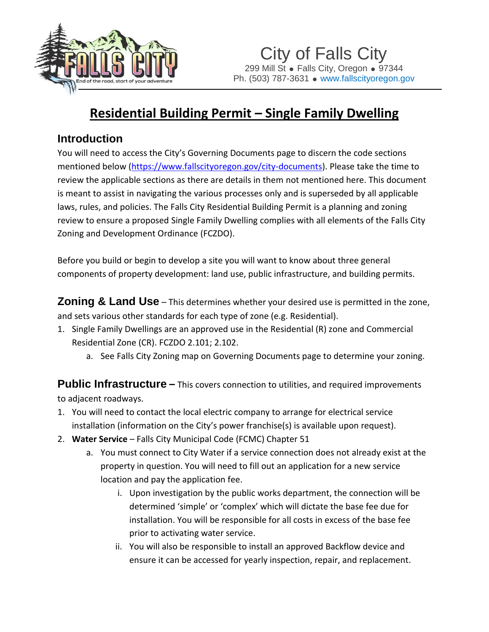

## **Residential Building Permit – Single Family Dwelling**

## **Introduction**

You will need to access the City's Governing Documents page to discern the code sections mentioned below [\(https://www.fallscityoregon.gov/city-documents\)](https://www.fallscityoregon.gov/city-documents). Please take the time to review the applicable sections as there are details in them not mentioned here. This document is meant to assist in navigating the various processes only and is superseded by all applicable laws, rules, and policies. The Falls City Residential Building Permit is a planning and zoning review to ensure a proposed Single Family Dwelling complies with all elements of the Falls City Zoning and Development Ordinance (FCZDO).

Before you build or begin to develop a site you will want to know about three general components of property development: land use, public infrastructure, and building permits.

**Zoning & Land Use** – This determines whether your desired use is permitted in the zone, and sets various other standards for each type of zone (e.g. Residential).

- 1. Single Family Dwellings are an approved use in the Residential (R) zone and Commercial Residential Zone (CR). FCZDO 2.101; 2.102.
	- a. See Falls City Zoning map on Governing Documents page to determine your zoning.

**Public Infrastructure** – This covers connection to utilities, and required improvements to adjacent roadways.

- 1. You will need to contact the local electric company to arrange for electrical service installation (information on the City's power franchise(s) is available upon request).
- 2. **Water Service** Falls City Municipal Code (FCMC) Chapter 51
	- a. You must connect to City Water if a service connection does not already exist at the property in question. You will need to fill out an application for a new service location and pay the application fee.
		- i. Upon investigation by the public works department, the connection will be determined 'simple' or 'complex' which will dictate the base fee due for installation. You will be responsible for all costs in excess of the base fee prior to activating water service.
		- ii. You will also be responsible to install an approved Backflow device and ensure it can be accessed for yearly inspection, repair, and replacement.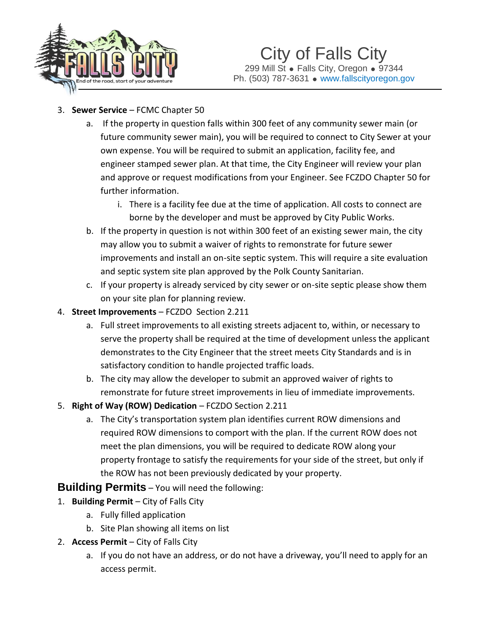

- 3. **Sewer Service** FCMC Chapter 50
	- a. If the property in question falls within 300 feet of any community sewer main (or future community sewer main), you will be required to connect to City Sewer at your own expense. You will be required to submit an application, facility fee, and engineer stamped sewer plan. At that time, the City Engineer will review your plan and approve or request modifications from your Engineer. See FCZDO Chapter 50 for further information.
		- i. There is a facility fee due at the time of application. All costs to connect are borne by the developer and must be approved by City Public Works.
	- b. If the property in question is not within 300 feet of an existing sewer main, the city may allow you to submit a waiver of rights to remonstrate for future sewer improvements and install an on-site septic system. This will require a site evaluation and septic system site plan approved by the Polk County Sanitarian.
	- c. If your property is already serviced by city sewer or on-site septic please show them on your site plan for planning review.
- 4. **Street Improvements** FCZDO Section 2.211
	- a. Full street improvements to all existing streets adjacent to, within, or necessary to serve the property shall be required at the time of development unless the applicant demonstrates to the City Engineer that the street meets City Standards and is in satisfactory condition to handle projected traffic loads.
	- b. The city may allow the developer to submit an approved waiver of rights to remonstrate for future street improvements in lieu of immediate improvements.
- 5. **Right of Way (ROW) Dedication** FCZDO Section 2.211
	- a. The City's transportation system plan identifies current ROW dimensions and required ROW dimensions to comport with the plan. If the current ROW does not meet the plan dimensions, you will be required to dedicate ROW along your property frontage to satisfy the requirements for your side of the street, but only if the ROW has not been previously dedicated by your property.

**Building Permits** – You will need the following:

- 1. **Building Permit** City of Falls City
	- a. Fully filled application
	- b. Site Plan showing all items on list
- 2. **Access Permit** City of Falls City
	- a. If you do not have an address, or do not have a driveway, you'll need to apply for an access permit.